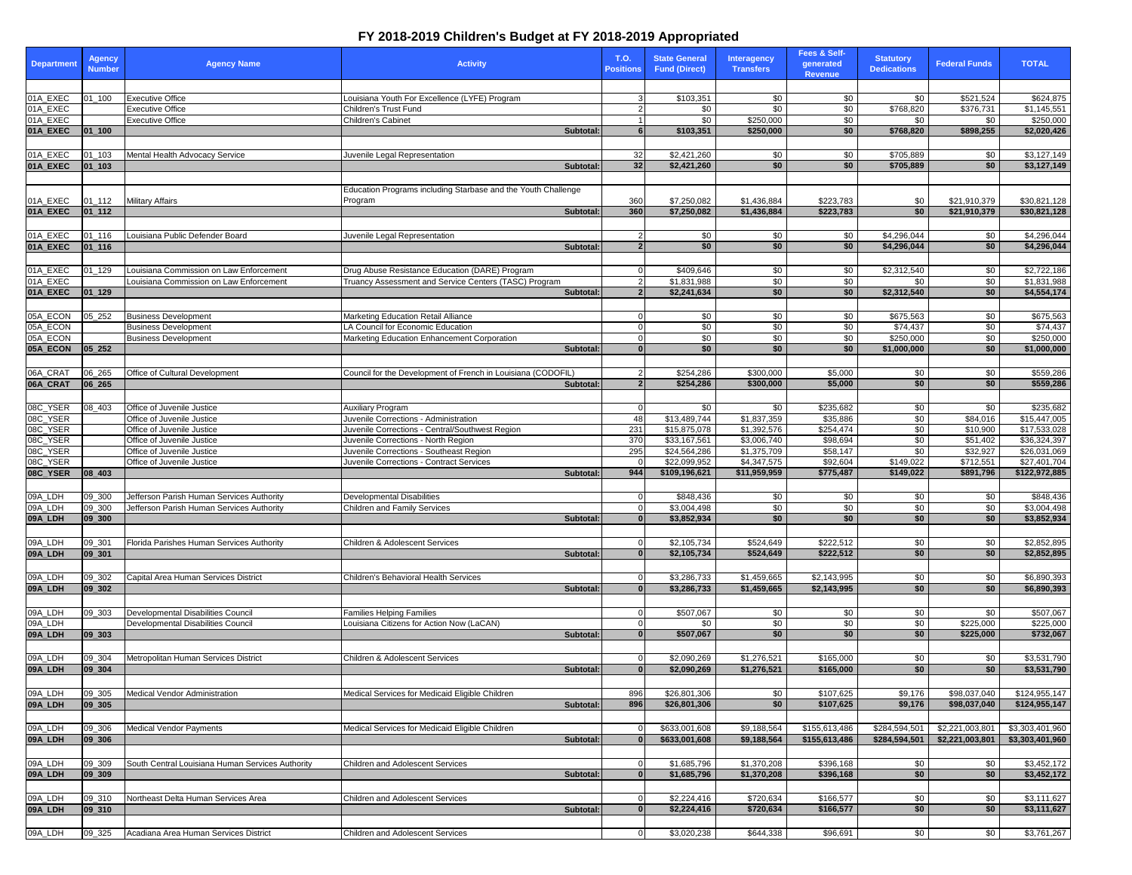| <b>Department</b>    | <b>Agency</b><br><b>Number</b> | <b>Agency Name</b>                                 | <b>Activity</b>                                                   | <b>T.O.</b><br><b>Positions</b> | <b>State General</b><br><b>Fund (Direct)</b> | <b>Interagency</b><br><b>Transfers</b> | <b>Fees &amp; Self-</b><br>generated<br>Revenue | <b>Statutory</b><br><b>Dedications</b> | <b>Federal Funds</b>         | <b>TOTAL</b>                  |
|----------------------|--------------------------------|----------------------------------------------------|-------------------------------------------------------------------|---------------------------------|----------------------------------------------|----------------------------------------|-------------------------------------------------|----------------------------------------|------------------------------|-------------------------------|
|                      |                                |                                                    |                                                                   |                                 |                                              |                                        |                                                 |                                        |                              |                               |
| 01A_EXEC             | 01_100                         | <b>Executive Office</b>                            | Louisiana Youth For Excellence (LYFE) Program                     |                                 | \$103,351                                    | \$0                                    | \$0                                             | \$0                                    | \$521,524                    | \$624,875                     |
| 01A_EXEC<br>01A_EXEC |                                | <b>Executive Office</b><br><b>Executive Office</b> | Children's Trust Fund<br>Children's Cabinet                       |                                 | \$0<br>\$0                                   | \$0<br>\$250,000                       | \$0<br>\$0                                      | \$768,820<br>\$0                       | \$376,731<br>\$0             | \$1,145,551<br>\$250,000      |
| 01A_EXEC             | $ 01 $ 100                     |                                                    | Subtotal:                                                         |                                 | \$103,351                                    | \$250,000                              | \$0                                             | \$768,820                              | \$898,255                    | \$2,020,426                   |
|                      |                                |                                                    |                                                                   |                                 |                                              |                                        |                                                 |                                        |                              |                               |
| 01A_EXEC             | $01 - 103$                     | Mental Health Advocacy Service                     | Juvenile Legal Representation                                     | 32                              | \$2,421,260                                  | \$0                                    | \$0                                             | \$705,889                              | \$0                          | \$3,127,149                   |
| 01A_EXEC             | $ 01$ <sub>-103</sub>          |                                                    | Subtotal:                                                         | 32                              | \$2,421,260                                  | \$0                                    | \$0                                             | \$705,889                              | \$0                          | \$3,127,149                   |
|                      |                                |                                                    |                                                                   |                                 |                                              |                                        |                                                 |                                        |                              |                               |
|                      |                                |                                                    | Education Programs including Starbase and the Youth Challenge     |                                 |                                              |                                        |                                                 |                                        |                              |                               |
| 01A_EXEC<br>01A_EXEC | $01 - 112$<br>$ 01_112 $       | <b>Military Affairs</b>                            | Program<br>Subtotal:                                              | 360<br>360                      | \$7,250,082<br>\$7,250,082                   | \$1,436,884<br>\$1,436,884             | \$223,783<br>\$223,783                          | \$0<br>\$0                             | \$21,910,379<br>\$21,910,379 | \$30,821,128<br>\$30,821,128  |
|                      |                                |                                                    |                                                                   |                                 |                                              |                                        |                                                 |                                        |                              |                               |
| 01A_EXEC             | 01_116                         | Louisiana Public Defender Board                    | Juvenile Legal Representation                                     |                                 | \$0                                          | \$0                                    | \$0                                             | \$4,296,044                            | \$0                          | \$4,296,044                   |
| 01A_EXEC             | $ 01_116 $                     |                                                    | Subtotal:                                                         | $\overline{2}$                  | \$0                                          | \$0                                    | \$0                                             | \$4,296,044                            | \$0                          | \$4,296,044                   |
|                      |                                |                                                    |                                                                   |                                 |                                              |                                        |                                                 |                                        |                              |                               |
| 01A_EXEC             | $01 - 129$                     | Louisiana Commission on Law Enforcement            | Drug Abuse Resistance Education (DARE) Program                    |                                 | \$409,646                                    | \$0                                    | \$0                                             | \$2,312,540                            | \$0                          | \$2,722,186                   |
| 01A_EXEC             |                                | Louisiana Commission on Law Enforcement            | Fruancy Assessment and Service Centers (TASC) Program             |                                 | \$1,831,988                                  | \$0                                    | \$0                                             | \$0                                    | \$0                          | \$1,831,988                   |
| 01A_EXEC             | $ 01_129$                      |                                                    | Subtotal:                                                         |                                 | \$2,241,634                                  | \$0                                    | \$0                                             | \$2,312,540                            | \$0                          | \$4,554,174                   |
| 05A_ECON             | 05_252                         | <b>Business Development</b>                        | Marketing Education Retail Alliance                               |                                 | \$0                                          | \$0                                    | \$0                                             | \$675,563                              | \$0                          | \$675,563                     |
| 05A_ECON             |                                | <b>Business Development</b>                        | LA Council for Economic Education                                 |                                 | \$0                                          | $\sqrt{60}$                            | \$0                                             | \$74,437                               | $\sqrt{60}$                  | \$74,437                      |
| 05A_ECON             |                                | <b>Business Development</b>                        | Marketing Education Enhancement Corporation                       |                                 | \$0                                          | \$0                                    | \$0                                             | \$250,000                              | \$0                          | \$250,000                     |
| 05A_ECON             | $ 05 \t252$                    |                                                    | Subtotal:                                                         |                                 | \$0                                          | \$0                                    | \$0                                             | \$1,000,000                            | \$0                          | \$1,000,000                   |
|                      |                                |                                                    |                                                                   |                                 |                                              |                                        |                                                 |                                        |                              |                               |
| 06A_CRAT             | 06_265                         | Office of Cultural Development                     | Council for the Development of French in Louisiana (CODOFIL)      |                                 | \$254,286                                    | \$300,000                              | \$5,000                                         | \$0                                    | \$0                          | \$559,286                     |
| 06A_CRAT             | 06 265                         |                                                    | Subtotal:                                                         |                                 | \$254,286                                    | \$300,000                              | \$5,000                                         | \$0                                    | \$0                          | \$559,286                     |
|                      |                                | Office of Juvenile Justice                         |                                                                   |                                 |                                              |                                        |                                                 |                                        |                              |                               |
| 08C_YSER<br>08C_YSER | 08_403                         | Office of Juvenile Justice                         | <b>Auxiliary Program</b><br>Juvenile Corrections - Administration | 48                              | \$0<br>\$13,489,744                          | \$0<br>\$1,837,359                     | \$235,682<br>\$35,886                           | \$0<br>\$0                             | \$0<br>\$84,016              | \$235,682<br>\$15,447,005     |
| 08C_YSER             |                                | Office of Juvenile Justice                         | Juvenile Corrections - Central/Southwest Region                   | 231                             | \$15,875,078                                 | \$1,392,576                            | \$254,474                                       | \$0                                    | \$10,900                     | \$17,533,028                  |
| 08C_YSER<br>08C_YSER |                                | Office of Juvenile Justice                         | Juvenile Corrections - North Region                               | 370                             | \$33,167,561                                 | \$3,006,740                            | \$98,694                                        | \$0                                    | \$51,402                     | \$36,324,397                  |
|                      |                                | Office of Juvenile Justice                         | Juvenile Corrections - Southeast Region                           | 295                             | \$24,564,286                                 | \$1,375,709                            | \$58,147                                        | \$0                                    | \$32,927                     | \$26,031,069                  |
| 08C_YSER<br>08C_YSER | $ 08 $ 403                     | Office of Juvenile Justice                         | Juvenile Corrections - Contract Services<br>Subtotal:             | 944                             | \$22,099,952<br>\$109,196,621                | \$4,347,575<br>\$11,959,959            | \$92,604<br>\$775,487                           | \$149,022<br>\$149,022                 | \$712,551<br>\$891,796       | \$27,401,704<br>\$122,972,885 |
|                      |                                |                                                    |                                                                   |                                 |                                              |                                        |                                                 |                                        |                              |                               |
| 09A_LDH              | 09_300                         | Jefferson Parish Human Services Authority          | <b>Developmental Disabilities</b>                                 |                                 | \$848,436                                    | \$0                                    | \$0                                             | \$0                                    | \$0                          | $\sqrt{$848,436}$             |
| 09A_LDH              | 09_300                         | Jefferson Parish Human Services Authority          | <b>Children and Family Services</b>                               |                                 | \$3,004,498                                  | \$0                                    | \$0                                             | \$0                                    | $\sqrt{60}$                  | \$3,004,498                   |
| 09A_LDH              | 09 300                         |                                                    | Subtotal:                                                         |                                 | \$3,852,934                                  | \$0                                    | $\overline{50}$                                 | \$0                                    | \$0                          | \$3,852,934                   |
|                      |                                |                                                    |                                                                   |                                 |                                              |                                        |                                                 |                                        |                              |                               |
| 09A_LDH              | 09_301                         | Florida Parishes Human Services Authority          | <b>Children &amp; Adolescent Services</b>                         |                                 | \$2,105,734                                  | \$524,649                              | \$222,512                                       | \$0                                    | \$0                          | \$2,852,895                   |
| 09A_LDH              | $ 09$ _301                     |                                                    | Subtotal:                                                         |                                 | \$2,105,734                                  | \$524,649                              | \$222,512                                       | \$0                                    | \$0                          | \$2,852,895                   |
| 09A_LDH              | 09_302                         | Capital Area Human Services District               | Children's Behavioral Health Services                             |                                 | \$3,286,733                                  | \$1,459,665                            | \$2,143,995                                     | \$0                                    | \$0                          | \$6,890,393                   |
| 09A_LDH              | 09 302                         |                                                    | <b>Subtotal:</b>                                                  |                                 | \$3,286,733                                  | \$1,459,665                            | \$2,143,995                                     | \$0                                    | \$0                          | \$6,890,393                   |
|                      |                                |                                                    |                                                                   |                                 |                                              |                                        |                                                 |                                        |                              |                               |
| 09A_LDH              | 09_303                         | <b>Developmental Disabilities Council</b>          | <b>Families Helping Families</b>                                  |                                 | \$507,067                                    | \$0                                    | \$0                                             | \$0                                    | \$0                          | \$507,067                     |
| 09A_LDH              |                                | Developmental Disabilities Council                 | Louisiana Citizens for Action Now (LaCAN)                         |                                 | \$0                                          | \$0                                    | \$0                                             | \$0                                    | \$225,000                    | \$225,000                     |
| 09A_LDH              | 09 303                         |                                                    | Subtotal:                                                         |                                 | \$507,067                                    | \$0                                    | \$0                                             | \$0                                    | \$225,000                    | \$732,067                     |
| 09A_LDH              | 09_304                         | Metropolitan Human Services District               | <b>Children &amp; Adolescent Services</b>                         |                                 | \$2,090,269                                  | \$1,276,521                            | \$165,000                                       | \$0                                    | \$0                          | \$3,531,790                   |
| 09A_LDH              | 09, 304                        |                                                    | Subtotal:                                                         |                                 | \$2,090,269                                  | \$1,276,521                            | \$165,000                                       | \$0                                    | \$0                          | \$3,531,790                   |
|                      |                                |                                                    |                                                                   |                                 |                                              |                                        |                                                 |                                        |                              |                               |
| 09A_LDH              | 09_305                         | Medical Vendor Administration                      | Medical Services for Medicaid Eligible Children                   | 896                             | \$26,801,306                                 | \$0                                    | \$107,625                                       | \$9,176                                | \$98,037,040                 | \$124,955,147                 |
| 09A_LDH              | $ 09$ 305                      |                                                    | Subtotal:                                                         | 896                             | \$26,801,306                                 | $\overline{50}$                        | \$107,625                                       | \$9,176                                | \$98,037,040                 | \$124,955,147                 |
|                      |                                |                                                    |                                                                   |                                 |                                              |                                        |                                                 |                                        |                              |                               |
| 09A_LDH              | 09_306                         | <b>Medical Vendor Payments</b>                     | Medical Services for Medicaid Eligible Children                   |                                 | \$633,001,608                                | \$9,188,564                            | \$155,613,486                                   | \$284,594,50                           | \$2,221,003,80               | \$3,303,401,960               |
| 09A_LDH              | 09 306                         |                                                    | Subtotal:                                                         |                                 | \$633,001,608                                | \$9,188,564                            | \$155,613,486                                   | \$284,594,501                          | \$2,221,003,801              | \$3,303,401,960               |
| 09A_LDH              | $09 - 309$                     | South Central Louisiana Human Services Authority   | <b>Children and Adolescent Services</b>                           |                                 | \$1,685,796                                  | \$1,370,208                            | \$396,168                                       | \$0                                    | \$0                          | \$3,452,172                   |
| 09A_LDH              | 09 309                         |                                                    | <b>Subtotal:</b>                                                  |                                 | \$1,685,796                                  | \$1,370,208                            | \$396,168                                       | \$0                                    | \$0                          | \$3,452,172                   |
|                      |                                |                                                    |                                                                   |                                 |                                              |                                        |                                                 |                                        |                              |                               |
| 09A_LDH              | 09_310                         | Northeast Delta Human Services Area                | <b>Children and Adolescent Services</b>                           |                                 | \$2,224,416                                  | \$720,634                              | \$166,577                                       | \$0                                    | \$0                          | \$3,111,627                   |
| 09A_LDH              | 09 310                         |                                                    | Subtotal:                                                         |                                 | \$2,224,416                                  | \$720,634                              | \$166,577                                       | \$0                                    | \$0                          | \$3,111,627                   |
|                      |                                |                                                    |                                                                   |                                 |                                              |                                        |                                                 |                                        |                              |                               |
| 09A_LDH              | $09 - 325$                     | Acadiana Area Human Services District              | <b>Children and Adolescent Services</b>                           |                                 | \$3,020,238                                  | \$644,338                              | \$96,691                                        | \$0                                    | \$0                          | \$3,761,267                   |

## **FY 2018-2019 Children's Budget at FY 2018-2019 Appropriated**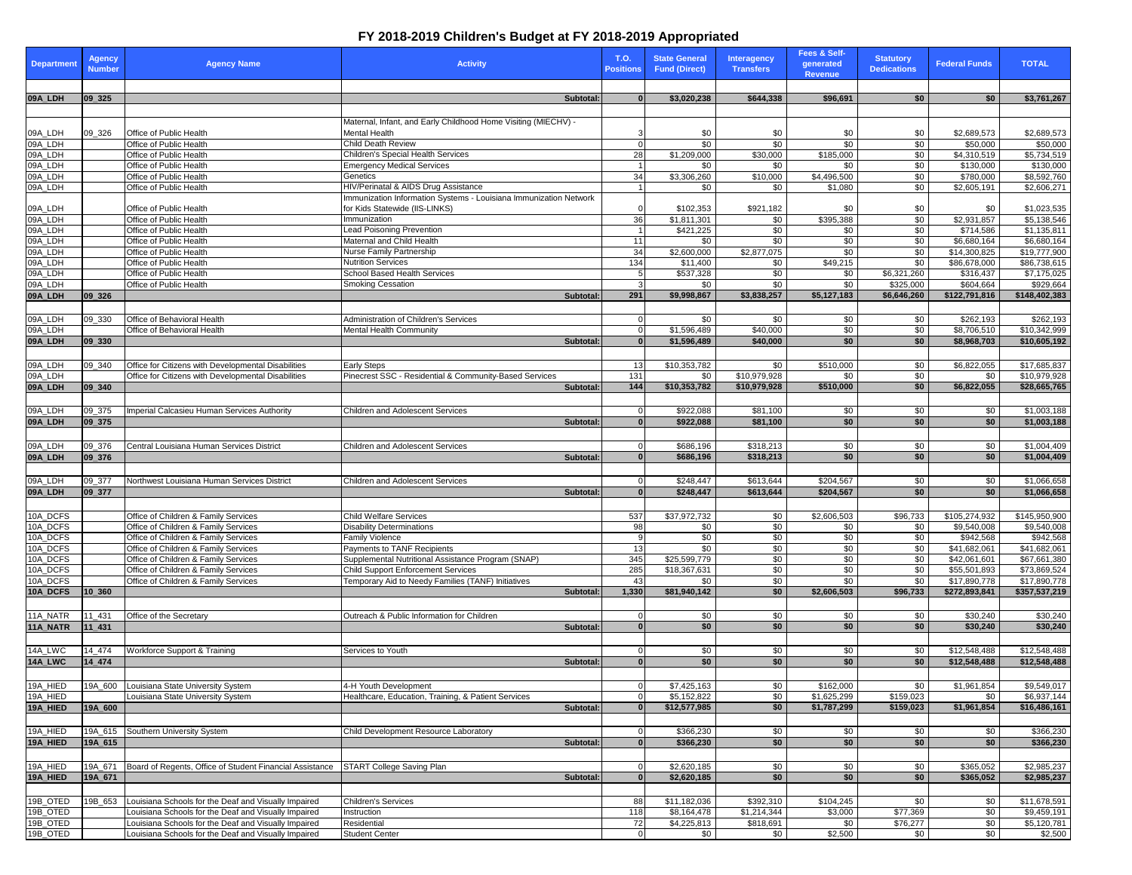## **FY 2018-2019 Children's Budget at FY 2018-2019 Appropriated**

| Department           | <b>Agency</b><br><b>Number</b> | <b>Agency Name</b>                                                                                         | <b>Activity</b>                                                                                     | <b>T.O.</b><br><b>Positions</b> | <b>State General</b><br><b>Fund (Direct)</b> | <b>Interagency</b><br><b>Transfers</b> | Fees & Self-<br>generated<br><b>Revenue</b> | <b>Statutory</b><br><b>Dedications</b> | <b>Federal Funds</b>       | <b>TOTAL</b>                           |
|----------------------|--------------------------------|------------------------------------------------------------------------------------------------------------|-----------------------------------------------------------------------------------------------------|---------------------------------|----------------------------------------------|----------------------------------------|---------------------------------------------|----------------------------------------|----------------------------|----------------------------------------|
| 09A_LDH              | 09 325                         |                                                                                                            | Subtotal:                                                                                           |                                 | \$3,020,238                                  | \$644,338                              | \$96,691                                    | \$0                                    | \$0                        | \$3,761,267                            |
|                      |                                |                                                                                                            | Maternal, Infant, and Early Childhood Home Visiting (MIECHV) -                                      |                                 |                                              |                                        |                                             |                                        |                            |                                        |
|                      | 09_326                         | Office of Public Health                                                                                    | Mental Health                                                                                       |                                 | \$0                                          | \$0                                    | \$0                                         | \$0                                    | \$2,689,573                | \$2,689,573                            |
| 09A_LDH<br>09A_LDH   |                                | Office of Public Health                                                                                    | <b>Child Death Review</b>                                                                           |                                 | $\sqrt{6}$                                   | $\sqrt{60}$                            | $\sqrt{60}$                                 | $\sqrt{60}$                            | \$50,000                   | \$50,000                               |
| 09A_LDH<br>09A_LDH   |                                | Office of Public Health<br>Office of Public Health                                                         | <b>Children's Special Health Services</b><br><b>Emergency Medical Services</b>                      | 28                              | \$1,209,000<br>\$0                           | \$30,000<br>\$0                        | \$185,000<br>\$0                            | \$0<br>\$0                             | \$4,310,519<br>\$130,000   | \$5,734,519<br>\$130,000               |
| 09A_LDH              |                                | Office of Public Health                                                                                    | Genetics                                                                                            | 34                              | \$3,306,260                                  | \$10,000                               | \$4,496,500                                 | \$0                                    | \$780,000                  | \$8,592,760                            |
| 09A_LDH              |                                | Office of Public Health                                                                                    | HIV/Perinatal & AIDS Drug Assistance                                                                |                                 | \$0                                          | \$0                                    | \$1,080                                     | \$0                                    | \$2,605,191                | \$2,606,271                            |
| 09A_LDH<br>09A_LDH   |                                | Office of Public Health                                                                                    | Immunization Information Systems - Louisiana Immunization Network<br>for Kids Statewide (IIS-LINKS) |                                 | \$102,353                                    | \$921,182                              | \$0                                         | \$0                                    | \$0                        | \$1,023,535                            |
|                      |                                | Office of Public Health                                                                                    | Immunization                                                                                        | 36                              | \$1,811,301                                  | \$0                                    | \$395,388                                   | $\sqrt{6}$                             | \$2,931,857                | \$5,138,546                            |
| 09A_LDH<br>09A_LDH   |                                | Office of Public Health<br>Office of Public Health                                                         | <b>Lead Poisoning Prevention</b><br>Maternal and Child Health                                       | 11                              | \$421,225<br>\$0                             | \$0<br>\$0                             | \$0<br>\$0                                  | $\sqrt{60}$<br>\$0                     | \$714,586<br>\$6,680,164   | \$1,135,811<br>$\overline{$6,680,164}$ |
| 09A_LDH              |                                | Office of Public Health                                                                                    | <b>Nurse Family Partnership</b>                                                                     | 34                              | \$2,600,000                                  | \$2,877,075                            | \$0                                         | \$0                                    | \$14,300,825               | \$19,777,900                           |
| 09A_LDH              |                                | Office of Public Health                                                                                    | <b>Nutrition Services</b>                                                                           | 134                             | \$11,400                                     | \$0                                    | \$49,215                                    | \$0                                    | \$86,678,000               | \$86,738,615                           |
| 09A_LDH              |                                | Office of Public Health                                                                                    | <b>School Based Health Services</b>                                                                 |                                 | \$537,328                                    | \$0                                    | \$0                                         | \$6,321,260                            | \$316,437                  | \$7,175,025                            |
| 09A_LDH<br>09A_LDH   | 09 326                         | Office of Public Health                                                                                    | <b>Smoking Cessation</b><br>Subtotal:                                                               | 291                             | \$0<br>\$9,998,867                           | \$0<br>\$3,838,257                     | \$0<br>\$5,127,183                          | \$325,000<br>\$6,646,260               | \$604,664<br>\$122,791,816 | \$929,664<br>\$148,402,383             |
|                      |                                |                                                                                                            |                                                                                                     |                                 |                                              |                                        |                                             |                                        |                            |                                        |
|                      | 09_330                         | Office of Behavioral Health                                                                                | Administration of Children's Services                                                               |                                 | \$0                                          | \$0                                    | \$0                                         | \$0                                    | \$262,193                  | \$262,193                              |
| 09A_LDH<br>09A_LDH   |                                | Office of Behavioral Health                                                                                | <b>Mental Health Community</b>                                                                      |                                 | \$1,596,489                                  | \$40,000                               | $\sqrt{60}$                                 | \$0                                    | \$8,706,510                | \$10,342,999                           |
| 09A_LDH              | $ 09 - 330 $                   |                                                                                                            | <b>Subtotal:</b>                                                                                    |                                 | \$1,596,489                                  | \$40,000                               | \$0                                         | \$0                                    | \$8,968,703                | \$10,605,192                           |
|                      |                                |                                                                                                            |                                                                                                     |                                 |                                              |                                        |                                             |                                        |                            |                                        |
| 09A_LDH<br>09A_LDH   | 09_340                         | Office for Citizens with Developmental Disabilities<br>Office for Citizens with Developmental Disabilities | <b>Early Steps</b><br>Pinecrest SSC - Residential & Community-Based Services                        | -13<br>131                      | \$10,353,782<br>\$0                          | \$0<br>\$10,979,928                    | \$510,000<br>\$0                            | \$0<br>$\sqrt{6}$                      | \$6,822,055<br>\$0         | \$17,685,837<br>\$10,979,928           |
| 09A_LDH              | 09 340                         |                                                                                                            | Subtotal:                                                                                           | 144                             | \$10,353,782                                 | \$10,979,928                           | \$510,000                                   | \$0                                    | \$6,822,055                | \$28,665,765                           |
|                      |                                |                                                                                                            |                                                                                                     |                                 |                                              |                                        |                                             |                                        |                            |                                        |
| 09A_LDH              | 09_375                         | Imperial Calcasieu Human Services Authority                                                                | <b>Children and Adolescent Services</b>                                                             |                                 | \$922,088                                    | \$81,100                               | \$0                                         | \$0                                    | \$0                        | \$1,003,188                            |
| 09A_LDH              | $ 09 - 375 $                   |                                                                                                            | Subtotal:                                                                                           |                                 | \$922,088                                    | \$81,100                               | \$0                                         | \$0                                    | \$0                        | \$1,003,188                            |
|                      |                                |                                                                                                            |                                                                                                     |                                 |                                              |                                        |                                             |                                        |                            |                                        |
| 09A_LDH<br>09A_LDH   | 09_376<br>$ 09_376 $           | Central Louisiana Human Services District                                                                  | <b>Children and Adolescent Services</b><br>Subtotal:                                                | $\mathbf{0}$                    | \$686,196<br>\$686,196                       | \$318,213<br>\$318,213                 | \$0<br>\$0                                  | \$0<br>\$0                             | \$0<br>\$0                 | \$1,004,409<br>\$1,004,409             |
|                      |                                |                                                                                                            |                                                                                                     |                                 |                                              |                                        |                                             |                                        |                            |                                        |
| 09A_LDH              | 09_377                         | Northwest Louisiana Human Services District                                                                | <b>Children and Adolescent Services</b>                                                             |                                 | $\sqrt{$248,447}$                            | \$613,644                              | \$204,567                                   | \$0                                    | \$0                        | \$1,066,658                            |
| 09A_LDH              | $ 09$ _377                     |                                                                                                            | Subtotal:                                                                                           |                                 | \$248,447                                    | \$613,644                              | \$204,567                                   | \$0                                    | \$0                        | \$1,066,658                            |
|                      |                                |                                                                                                            |                                                                                                     |                                 |                                              |                                        |                                             |                                        |                            |                                        |
| 10A_DCFS             |                                | Office of Children & Family Services                                                                       | <b>Child Welfare Services</b>                                                                       | 537                             | \$37,972,732                                 | \$0                                    | \$2,606,503                                 | \$96,733                               | \$105,274,932              | \$145,950,900                          |
| 10A_DCFS<br>10A_DCFS |                                | Office of Children & Family Services<br>Office of Children & Family Services                               | <b>Disability Determinations</b>                                                                    | 98                              | \$0                                          | $\sqrt{60}$                            | \$0                                         | $\sqrt{60}$                            | \$9,540,008                | \$9,540,008                            |
| 10A_DCFS             |                                | Office of Children & Family Services                                                                       | <b>Family Violence</b><br>Payments to TANF Recipients                                               | 13                              | $\sqrt{60}$<br>\$0                           | \$0<br>\$0                             | $\sqrt{60}$<br>\$0                          | $\sqrt{60}$<br>\$0                     | \$942,568<br>\$41,682,061  | \$942,568<br>\$41,682,061              |
| 10A_DCFS             |                                | Office of Children & Family Services                                                                       | Supplemental Nutritional Assistance Program (SNAP)                                                  | 345                             | \$25,599,779                                 | $\sqrt{60}$                            | \$0                                         | \$0                                    | \$42,061,601               | \$67,661,380                           |
| 10A_DCFS             |                                | Office of Children & Family Services                                                                       | <b>Child Support Enforcement Services</b>                                                           | 285                             | \$18,367,631                                 | \$0                                    | \$0                                         | \$0                                    | \$55,501,893               | \$73,869,524                           |
| 10A_DCFS             |                                | Office of Children & Family Services                                                                       | Temporary Aid to Needy Families (TANF) Initiatives                                                  | 43                              | \$0                                          | \$0                                    | \$0                                         | \$0                                    | \$17,890,778               | \$17,890,778                           |
| 10A_DCFS             | 10 360                         |                                                                                                            | Subtotal:                                                                                           | 1,330                           | \$81,940,142                                 | \$0                                    | \$2,606,503                                 | \$96,733                               | \$272,893,841              | \$357,537,219                          |
| 11A_NATR             | 11_431                         | Office of the Secretary                                                                                    | Outreach & Public Information for Children                                                          |                                 | \$0                                          | \$0                                    | \$0                                         | \$0                                    | \$30,240                   | \$30,240                               |
| 11A_NATR             | $11 - 431$                     |                                                                                                            | Subtotal:                                                                                           |                                 | \$0                                          | \$0                                    | \$0                                         | \$0                                    | \$30,240                   | \$30,240                               |
|                      |                                |                                                                                                            |                                                                                                     |                                 |                                              |                                        |                                             |                                        |                            |                                        |
| 14A_LWC              | 14_474                         | Workforce Support & Training                                                                               | Services to Youth                                                                                   |                                 | \$0                                          | \$0                                    | \$0                                         | \$0                                    | \$12,548,488               | \$12,548,488                           |
| 14A_LWC              | $14 - 474$                     |                                                                                                            | Subtotal:                                                                                           | $\Omega$                        | \$0                                          | $\overline{50}$                        | \$0                                         | \$0                                    | \$12,548,488               | \$12,548,488                           |
|                      |                                |                                                                                                            |                                                                                                     |                                 |                                              |                                        |                                             |                                        |                            |                                        |
| 19A_HIED<br>19A_HIED | 19A_600                        | Louisiana State University System<br>Louisiana State University System                                     | 4-H Youth Development<br>Healthcare, Education, Training, & Patient Services                        |                                 | \$7,425,163<br>\$5,152,822                   | $\sqrt{60}$<br>\$0                     | \$162,000<br>\$1,625,299                    | \$0<br>\$159,023                       | \$1,961,854<br>\$0         | \$9,549,017<br>\$6,937,144             |
| 19A_HIED             | 19A_600                        |                                                                                                            | Subtotal:                                                                                           |                                 | \$12,577,985                                 | \$0                                    | \$1,787,299                                 | \$159,023                              | \$1,961,854                | \$16,486,161                           |
|                      |                                |                                                                                                            |                                                                                                     |                                 |                                              |                                        |                                             |                                        |                            |                                        |
| 19A_HIED             | 19A_615                        | Southern University System                                                                                 | Child Development Resource Laboratory                                                               |                                 | \$366,230                                    | \$0                                    | \$0                                         | \$0                                    | \$0                        | \$366,230                              |
| 19A_HIED             | 19A_615                        |                                                                                                            | <b>Subtotal:</b>                                                                                    |                                 | \$366,230                                    | \$0                                    | \$0                                         | \$0                                    | \$0                        | \$366,230                              |
|                      |                                |                                                                                                            |                                                                                                     |                                 |                                              |                                        |                                             |                                        |                            |                                        |
| 19A_HIED<br>19A_HIED | 19A_671<br>19A_671             | Board of Regents, Office of Student Financial Assistance                                                   | <b>START College Saving Plan</b><br>Subtotal:                                                       |                                 | \$2,620,185<br>\$2,620,185                   | \$0<br>$\overline{50}$                 | \$0<br>\$0                                  | \$0<br>\$0                             | \$365,052<br>\$365,052     | \$2,985,237<br>\$2,985,237             |
|                      |                                |                                                                                                            |                                                                                                     |                                 |                                              |                                        |                                             |                                        |                            |                                        |
| 19B_OTED             | 19B_653                        | Louisiana Schools for the Deaf and Visually Impaired                                                       | <b>Children's Services</b>                                                                          | 88                              | \$11,182,036                                 | \$392,310                              | \$104,245                                   | \$0                                    | \$0                        | \$11,678,591                           |
| 19B_OTED             |                                | Louisiana Schools for the Deaf and Visually Impaired                                                       | Instruction                                                                                         | 118                             | \$8,164,478                                  | \$1,214,344                            | \$3,000                                     | \$77,369                               | \$0                        | \$9,459,191                            |
| 19B_OTED             |                                | Louisiana Schools for the Deaf and Visually Impaired                                                       | Residential                                                                                         | 72                              | \$4,225,813                                  | \$818,691                              | \$0                                         | \$76,277                               | \$0                        | \$5,120,781                            |
| 19B_OTED             |                                | Louisiana Schools for the Deaf and Visually Impaired                                                       | <b>Student Center</b>                                                                               |                                 | \$0                                          | \$0                                    | \$2,500                                     | \$0                                    | \$0                        | \$2,500                                |